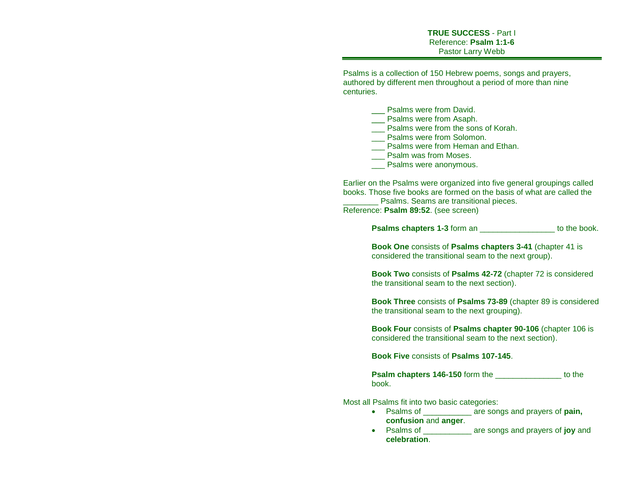Psalms is a collection of 150 Hebrew poems, songs and prayers, authored by different men throughout a period of more than nine centuries.

> Psalms were from David. \_\_\_ Psalms were from Asaph. Psalms were from the sons of Korah.

- Psalms were from Solomon.
- **\_\_\_ Psalms were from Heman and Ethan.**
- Psalm was from Moses.
- Psalms were anonymous.

Earlier on the Psalms were organized into five general groupings called books. Those five books are formed on the basis of what are called the

Psalms. Seams are transitional pieces. Reference: **Psalm 89:52**. (see screen)

**Psalms chapters 1-3** form an \_\_\_\_\_\_\_\_\_\_\_\_\_\_\_\_\_\_\_\_\_ to the book.

**Book One** consists of **Psalms chapters 3-41** (chapter 41 is considered the transitional seam to the next group).

**Book Two** consists of **Psalms 42-72** (chapter 72 is considered the transitional seam to the next section).

**Book Three** consists of **Psalms 73-89** (chapter 89 is considered the transitional seam to the next grouping).

**Book Four** consists of **Psalms chapter 90-106** (chapter 106 is considered the transitional seam to the next section).

**Book Five** consists of **Psalms 107-145**.

**Psalm chapters 146-150** form the to the to the book.

Most all Psalms fit into two basic categories:

- Psalms of \_\_\_\_\_\_\_\_\_\_\_ are songs and prayers of **pain, confusion** and **anger**.
- Psalms of \_\_\_\_\_\_\_\_\_\_\_ are songs and prayers of **joy** and **celebration**.